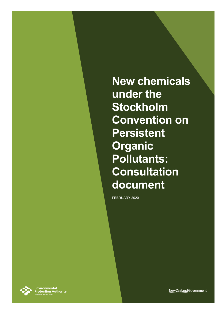**New chemicals under the Stockholm Convention on Persistent Organic Pollutants: Consultation document**

FEBRUARY 2020



**Environmental<br>Protection Authority**<br>Te Mana Rauhī Taiao

New Zealand Government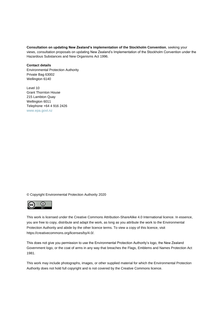#### **Consultation on updating New Zealand's implementation of the Stockholm Convention**, seeking your

views, consultation proposals on updating New Zealand's Implementation of the Stockholm Convention under the Hazardous Substances and New Organisms Act 1996.

#### **Contact details**

Environmental Protection Authority Private Bag 63002 Wellington 6140

Level 10 Grant Thornton House 215 Lambton Quay Wellington 6011 Telephone +64 4 916 2426 [www.epa.govt.nz](http://www.epa.govt.nz/)

© Copyright Environmental Protection Authority 2020



This work is licensed under the Creative Commons Attribution-ShareAlike 4.0 International licence. In essence, you are free to copy, distribute and adapt the work, as long as you attribute the work to the Environmental Protection Authority and abide by the other licence terms. To view a copy of this licence, visit https://creativecommons.org/licenses/by/4.0/.

This does not give you permission to use the Environmental Protection Authority's logo, the New Zealand Government logo, or the coat of arms in any way that breaches the Flags, Emblems and Names Protection Act 1981.

This work may include photographs, images, or other supplied material for which the Environmental Protection Authority does not hold full copyright and is not covered by the Creative Commons licence.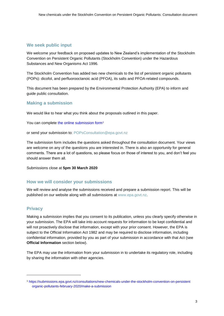#### **We seek public input**

We welcome your feedback on proposed updates to New Zealand's implementation of the Stockholm Convention on Persistent Organic Pollutants (Stockholm Convention) under the Hazardous Substances and New Organisms Act 1996.

The Stockholm Convention has added two new chemicals to the list of persistent organic pollutants (POPs): dicofol, and perfluorooctanoic acid (PFOA), its salts and PFOA-related compounds.

This document has been prepared by the Environmental Protection Authority (EPA) to inform and guide public consultation.

#### **Making a submission**

We would like to hear what you think about the proposals outlined in this paper.

You can complete [the online submission form](https://submissions.epa.govt.nz/consultations/new-chemicals-under-the-stockholm-convention-on-persistent-organic-pollutants-february-2020/make-a-submission)<sup>1</sup>

or send your submission to: POPsConsultation@epa.govt.nz

The submission form includes the questions asked throughout the consultation document. Your views are welcome on any of the questions you are interested in. There is also an opportunity for general comments. There are a lot of questions, so please focus on those of interest to you, and don't feel you should answer them all.

Submissions close at **5pm 30 March 2020**

#### **How we will consider your submissions**

We will review and analyse the submissions received and prepare a submission report. This will be published on our website along with all submissions at [www.epa.govt.nz.](http://www.epa.govt.nz/)

#### **Privacy**

l

Making a submission implies that you consent to its publication, unless you clearly specify otherwise in your submission. The EPA will take into account requests for information to be kept confidential and will not proactively disclose that information, except with your prior consent. However, the EPA is subject to the Official Information Act 1982 and may be required to disclose information, including confidential information, provided by you as part of your submission in accordance with that Act (see **Official Information** section below).

The EPA may use the information from your submission in to undertake its regulatory role, including by sharing the information with other agencies.

<sup>1</sup> [https://submissions.epa.govt.nz/consultations/new-chemicals-under-the-stockholm-convention-on-persistent](https://submissions.epa.govt.nz/consultations/new-chemicals-under-the-stockholm-convention-on-persistent%20organic-pollutants-february-2020/make-a-submission)  [organic-pollutants-february-2020/make-a-submission](https://submissions.epa.govt.nz/consultations/new-chemicals-under-the-stockholm-convention-on-persistent%20organic-pollutants-february-2020/make-a-submission)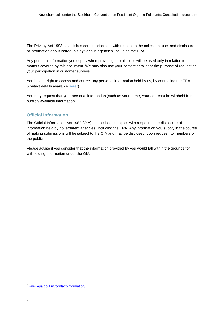The Privacy Act 1993 establishes certain principles with respect to the collection, use, and disclosure of information about individuals by various agencies, including the EPA.

Any personal information you supply when providing submissions will be used only in relation to the matters covered by this document. We may also use your contact details for the purpose of requesting your participation in customer surveys.

You have a right to access and correct any personal information held by us, by contacting the EPA (contact details available [here](https://www.epa.govt.nz/contact-information/)<sup>2</sup>).

You may request that your personal information (such as your name, your address) be withheld from publicly available information.

#### **Official Information**

The Official Information Act 1982 (OIA) establishes principles with respect to the disclosure of information held by government agencies, including the EPA. Any information you supply in the course of making submissions will be subject to the OIA and may be disclosed, upon request, to members of the public.

Please advise if you consider that the information provided by you would fall within the grounds for withholding information under the OIA.

l

<sup>2</sup> [www.epa.govt.nz/contact-information/](http://www.epa.govt.nz/contact-information/)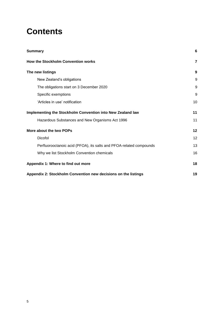# **Contents**

| <b>Summary</b>                                                      | 6              |
|---------------------------------------------------------------------|----------------|
| How the Stockholm Convention works                                  | $\overline{7}$ |
| The new listings                                                    | 9              |
| New Zealand's obligations                                           | 9              |
| The obligations start on 3 December 2020                            | 9              |
| Specific exemptions                                                 | 9              |
| 'Articles in use' notification                                      | 10             |
| Implementing the Stockholm Convention into New Zealand law          | 11             |
| Hazardous Substances and New Organisms Act 1996                     | 11             |
| More about the two POPs                                             | 12             |
| Dicofol                                                             | 12             |
| Perfluorooctanoic acid (PFOA), its salts and PFOA-related compounds | 13             |
| Why we list Stockholm Convention chemicals                          | 16             |
| Appendix 1: Where to find out more                                  | 18             |
| Appendix 2: Stockholm Convention new decisions on the listings      | 19             |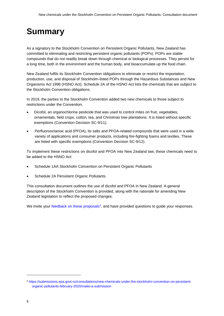# <span id="page-5-0"></span>**Summary**

As a signatory to the Stockholm Convention on Persistent Organic Pollutants, New Zealand has committed to eliminating and restricting persistent organic pollutants (POPs). POPs are stable compounds that do not readily break down through chemical or biological processes. They persist for a long time, both in the environment and the human body, and bioaccumulate up the food chain.

New Zealand fulfils its Stockholm Convention obligations to eliminate or restrict the importation, production, use, and disposal of Stockholm-listed POPs through the Hazardous Substances and New Organisms Act 1996 (HSNO Act). Schedule 2A of the HSNO Act lists the chemicals that are subject to the Stockholm Convention obligations.

In 2019, the parties to the Stockholm Convention added two new chemicals to those subject to restrictions under the Convention.

- Dicofol, an organochlorine pesticide that was used to control mites on fruit, vegetables, ornamentals, field crops, cotton, tea, and Christmas tree plantations. It is listed without specific exemptions (Convention Decision SC-9/11).
- Perfluorooctanoic acid (PFOA), its salts and PFOA-related compounds that were used in a wide variety of applications and consumer products, including fire-fighting foams and textiles. These are listed with specific exemptions (Convention Decision SC-9/12).

To implement these restrictions on dicofol and PFOA into New Zealand law, these chemicals need to be added to the HSNO Act:

- Schedule 1AA Stockholm Convention on Persistent Organic Pollutants
- Schedule 2A Persistent Organic Pollutants.

This consultation document outlines the use of dicofol and PFOA in New Zealand. A general description of the Stockholm Convention is provided, along with the rationale for amending New Zealand legislation to reflect the proposed changes.

We invite your [feedback on these proposals](https://submissions.epa.govt.nz/consultations/new-chemicals-under-the-stockholm-convention-on-persistent-organic-pollutants-february-2020/make-a-submission)<sup>3</sup>, and have provided questions to guide your responses.

l

<sup>3</sup> [https://submissions.epa.govt.nz/consultations/new-chemicals-under-the-stockholm-convention-on-persistent](https://submissions.epa.govt.nz/consultations/new-chemicals-under-the-stockholm-convention-on-persistent-organic-pollutants-february-2020/make-a-submission)[organic-pollutants-february-2020/make-a-submission](https://submissions.epa.govt.nz/consultations/new-chemicals-under-the-stockholm-convention-on-persistent-organic-pollutants-february-2020/make-a-submission)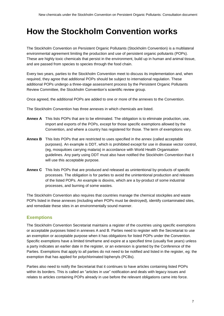# <span id="page-6-0"></span>**How the Stockholm Convention works**

The Stockholm Convention on Persistent Organic Pollutants (Stockholm Convention) is a multilateral environmental agreement limiting the production and use of persistent organic pollutants (POPs). These are highly toxic chemicals that persist in the environment, build up in human and animal tissue, and are passed from species to species through the food chain.

Every two years, parties to the Stockholm Convention meet to discuss its implementation and, when required, they agree that additional POPs should be subject to international regulation. These additional POPs undergo a three-stage assessment process by the Persistent Organic Pollutants Review Committee, the Stockholm Convention's scientific review group.

Once agreed, the additional POPs are added to one or more of the annexes to the Convention.

The Stockholm Convention has three annexes in which chemicals are listed.

- **Annex A** This lists POPs that are to be eliminated. The obligation is to eliminate production, use, import and exports of the POPs, except for those specific exemptions allowed by the Convention, and where a country has registered for those. The term of exemptions vary.
- **Annex B** This lists POPs that are restricted to uses specified in the annex (called acceptable purposes). An example is DDT, which is prohibited except for use in disease vector control, (eg, mosquitoes carrying malaria) in accordance with World Health Organisation guidelines. Any party using DDT must also have notified the Stockholm Convention that it will use this acceptable purpose.
- **Annex C** This lists POPs that are produced and released as unintentional by-products of specific processes. The obligation is for parties to avoid the unintentional production and releases of the listed POPs. An example is dioxins, which are a by-product of some industrial processes, and burning of some wastes.

The Stockholm Convention also requires that countries manage the chemical stockpiles and waste POPs listed in these annexes (including when POPs must be destroyed), identify contaminated sites, and remediate these sites in an environmentally sound manner.

#### **Exemptions**

The Stockholm Convention Secretariat maintains a register of the countries using specific exemptions or acceptable purposes listed in annexes A and B. Parties need to register with the Secretariat to use an exemption or acceptable purpose when it has obligations for listed POPs under the Convention. Specific exemptions have a limited timeframe and expire at a specified time (usually five years) unless a party indicates an earlier date in the register, or an extension is granted by the Conference of the Parties. Exemptions that apply to all parties do not need to be notified and listed in the register, eg: the exemption that has applied for polychlorinated biphenyls (PCBs).

Parties also need to notify the Secretariat that it continues to have articles containing listed POPs within its borders. This is called an "articles in use" notification and deals with legacy issues and relates to articles containing POPs already in use before the relevant obligations came into force.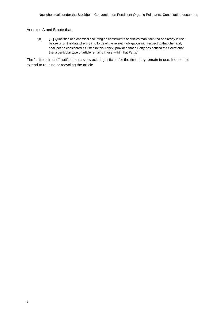#### Annexes A and B note that:

"[ii] […] Quantities of a chemical occurring as constituents of articles manufactured or already in use before or on the date of entry into force of the relevant obligation with respect to that chemical, shall not be considered as listed in this Annex, provided that a Party has notified the Secretariat that a particular type of article remains in use within that Party."

The "articles in use" notification covers existing articles for the time they remain in use. It does not extend to reusing or recycling the article.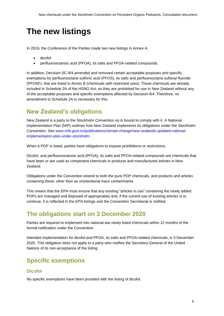# <span id="page-8-0"></span>**The new listings**

In 2019, the Conference of the Parties made two new listings in Annex A:

- dicofol
- perfluorooctanoic acid (PFOA), its salts and PFOA-related compounds.

In addition, Decision SC-9/4 amended and removed certain acceptable purposes and specific exemptions for perfluorooctane sulfonic acid (PFOS), its salts and perfluorooctane sulfonyl fluoride (PFOSF), that are listed in Annex B (chemicals with restricted uses). Those chemicals are already included in Schedule 2A of the HSNO Act, so they are prohibited for use in New Zealand without any of the acceptable purposes and specific exemptions affected by Decision-9/4. Therefore, no amendment to Schedule 2A is necessary for this.

## <span id="page-8-1"></span>**New Zealand's obligations**

New Zealand is a party to the Stockholm Convention so is bound to comply with it. A National Implementation Plan (NIP) outlines how New Zealand implements its obligations under the Stockholm Convention. See [www.mfe.govt.nz/publications/climate-change/new-zealands-updated-national](http://www.mfe.govt.nz/publications/climate-change/new-zealands-updated-national-implementation-plan-under-stockholm)[implementation-plan-under-stockholm.](http://www.mfe.govt.nz/publications/climate-change/new-zealands-updated-national-implementation-plan-under-stockholm)

When a POP is listed, parties have obligations to impose prohibitions or restrictions.

Dicofol, and perfluorooctanoic acid (PFOA), its salts and PFOA-related compounds are chemicals that have been or are used as component chemicals in products and manufactured articles in New Zealand.

Obligations under the Convention extend to both the pure POP chemicals, and products and articles containing these, other than as unintentional trace contaminants.

This means that the EPA must ensure that any existing "articles in use" containing the newly added POPs are managed and disposed of appropriately and, if the current use of existing articles is to continue, it is reflected in the EPA listings and the Convention Secretariat is notified.

## <span id="page-8-2"></span>**The obligations start on 3 December 2020**

Parties are required to implement into national law newly listed chemicals within 12 months of the formal notification under the Convention.

Intended implementation for dicofol and PFOA, its salts and PFOA-related chemicals, is 3 December 2020. This obligation does not apply to a party who notifies the Secretary-General of the United Nations of its non-acceptance of the listing.

## <span id="page-8-3"></span>**Specific exemptions**

#### **Dicofol**

No specific exemptions have been provided with the listing of dicofol.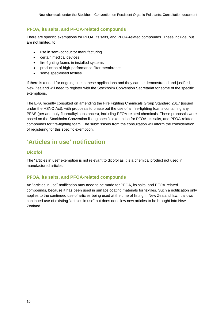#### **PFOA, its salts, and PFOA-related compounds**

There are specific exemptions for PFOA, its salts, and PFOA-related compounds. These include, but are not limited, to:

- use in semi-conductor manufacturing
- certain medical devices
- fire-fighting foams in installed systems
- production of high-performance filter membranes
- some specialised textiles.

If there is a need for ongoing use in these applications and they can be demonstrated and justified, New Zealand will need to register with the Stockholm Convention Secretariat for some of the specific exemptions.

The EPA recently consulted on amending the Fire Fighting Chemicals Group Standard 2017 (issued under the HSNO Act), with proposals to phase out the use of all fire-fighting foams containing any PFAS (per and poly-fluoroalkyl substances), including PFOA-related chemicals. These proposals were based on the Stockholm Convention listing specific exemption for PFOA, its salts, and PFOA-related compounds for fire-fighting foam. The submissions from the consultation will inform the consideration of registering for this specific exemption.

## <span id="page-9-0"></span>**'Articles in use' notification**

#### **Dicofol**

The "articles in use" exemption is not relevant to dicofol as it is a chemical product not used in manufactured articles.

#### **PFOA, its salts, and PFOA-related compounds**

An "articles in use" notification may need to be made for PFOA, its salts, and PFOA-related compounds, because it has been used in surface coating materials for textiles. Such a notification only applies to the continued use of articles being used at the time of listing in New Zealand law. It allows continued use of existing "articles in use" but does not allow new articles to be brought into New Zealand.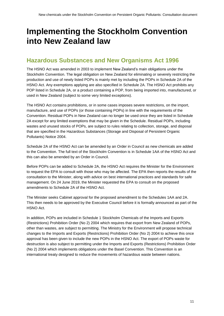# <span id="page-10-0"></span>**Implementing the Stockholm Convention into New Zealand law**

## <span id="page-10-1"></span>**Hazardous Substances and New Organisms Act 1996**

The HSNO Act was amended in 2003 to implement New Zealand's main obligations under the Stockholm Convention. The legal obligation on New Zealand for eliminating or severely restricting the production and use of newly listed POPs is mainly met by including the POPs in Schedule 2A of the HSNO Act. Any exemptions applying are also specified in Schedule 2A. The HSNO Act prohibits any POP listed in Schedule 2A, or a product containing a POP, from being imported into, manufactured, or used in New Zealand (subject to some very limited exceptions).

The HSNO Act contains prohibitions, or in some cases imposes severe restrictions, on the import, manufacture, and use of POPs (or those containing POPs) in line with the requirements of the Convention. Residual POPs in New Zealand can no longer be used once they are listed in Schedule 2A except for any limited exemptions that may be given in the Schedule. Residual POPs, including wastes and unused stocks of POPs, are subject to rules relating to collection, storage, and disposal that are specified in the Hazardous Substances (Storage and Disposal of Persistent Organic Pollutants) Notice 2004.

Schedule 2A of the HSNO Act can be amended by an Order in Council as new chemicals are added to the Convention. The full text of the Stockholm Convention is in Schedule 1AA of the HSNO Act and this can also be amended by an Order in Council.

Before POPs can be added to Schedule 2A, the HSNO Act requires the Minister for the Environment to request the EPA to consult with those who may be affected. The EPA then reports the results of the consultation to the Minister, along with advice on best international practices and standards for safe management. On 24 June 2019, the Minister requested the EPA to consult on the proposed amendments to Schedule 2A of the HSNO Act.

The Minister seeks Cabinet approval for the proposed amendment to the Schedules 1AA and 2A. This then needs to be approved by the Executive Council before it is formally announced as part of the HSNO Act.

In addition, POPs are included in Schedule 1 Stockholm Chemicals of the Imports and Exports (Restrictions) Prohibition Order (No 2) 2004 which requires that export from New Zealand of POPs, other than wastes, are subject to permitting. The Ministry for the Environment will propose technical changes to the Imports and Exports (Restrictions) Prohibition Order (No 2) 2004 to achieve this once approval has been given to include the new POPs in the HSNO Act. The export of POPs waste for destruction is also subject to permitting under the Imports and Exports (Restrictions) Prohibition Order (No 2) 2004 which implements obligations under the Basel Convention. This Convention is an international treaty designed to reduce the movements of hazardous waste between nations.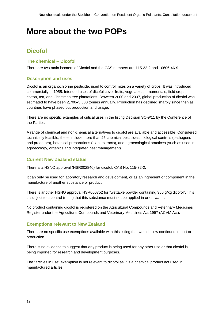# <span id="page-11-0"></span>**More about the two POPs**

# <span id="page-11-1"></span>**Dicofol**

### **The chemical – Dicofol**

There are two main isomers of Dicofol and the CAS numbers are 115-32-2 and 10606-46-9.

### **Description and uses**

Dicofol is an organochlorine pesticide, used to control mites on a variety of crops. It was introduced commercially in 1955. Intended uses of dicofol cover fruits, vegetables, ornamentals, field crops, cotton, tea, and Christmas tree plantations. Between 2000 and 2007, global production of dicofol was estimated to have been 2,700–5,500 tonnes annually. Production has declined sharply since then as countries have phased out production and usage.

There are no specific examples of critical uses in the listing Decision SC-9/11 by the Conference of the Parties.

A range of chemical and non-chemical alternatives to dicofol are available and accessible. Considered technically feasible, these include more than 25 chemical pesticides, biological controls (pathogens and predators), botanical preparations (plant extracts), and agroecological practices (such as used in agroecology, organics and integrated pest management).

### **Current New Zealand status**

There is a HSNO approval (HSR002840) for dicofol, CAS No. 115-32-2.

It can only be used for laboratory research and development, or as an ingredient or component in the manufacture of another substance or product.

There is another HSNO approval HSR000752 for "wettable powder containing 350 g/kg dicofol". This is subject to a control (rules) that this substance must not be applied in or on water.

No product containing dicofol is registered on the Agricultural Compounds and Veterinary Medicines Register under the Agricultural Compounds and Veterinary Medicines Act 1997 (ACVM Act).

#### **Exemptions relevant to New Zealand**

There are no specific use exemptions available with this listing that would allow continued import or production.

There is no evidence to suggest that any product is being used for any other use or that dicofol is being imported for research and development purposes.

The "articles in use" exemption is not relevant to dicofol as it is a chemical product not used in manufactured articles.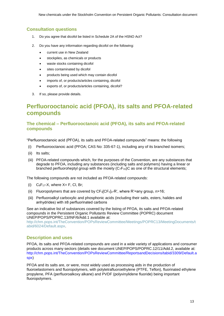### **Consultation questions**

- 1. Do you agree that dicofol be listed in Schedule 2A of the HSNO Act?
- 2. Do you have any information regarding dicofol on the following:
	- current use in New Zealand
	- stockpiles, as chemicals or products
	- waste stocks containing dicofol
	- sites contaminated by dicofol
	- products being used which may contain dicofol
	- imports of, or products/articles containing, dicofol
	- exports of, or products/articles containing, dicofol?
- 3. If so, please provide details.

## <span id="page-12-0"></span>**Perfluorooctanoic acid (PFOA), its salts and PFOA-related compounds**

### **The chemical – Perfluorooctanoic acid (PFOA), its salts and PFOA-related compounds**

"Perfluorooctanoic acid (PFOA), its salts and PFOA-related compounds" means: the following

- (i) Perfluorooctanoic acid (PFOA; CAS No: 335-67-1), including any of its branched isomers;
- (ii) Its salts;
- (iii) PFOA-related compounds which, for the purposes of the Convention, are any substances that degrade to PFOA, including any substances (including salts and polymers) having a linear or branched perfluoroheptyl group with the moiety  $(C_7F_{15})C$  as one of the structural elements;

The following compounds are not included as PFOA-related compounds:

- (i)  $C_8F_{17}$ -X, where  $X = F$ , Cl, Br;
- (ii) Fluoropolymers that are covered by  $CF_3[CF_2]_n R'$ , where  $R' =$ any group, n>16;
- (iii) Perfluoroalkyl carboxylic and phosphonic acids (including their salts, esters, halides and anhydrides) with ≥8 perfluorinated carbons

See an indicative list of substances covered by the listing of PFOA, its salts and PFOA-related compounds in the Persistent Organic Pollutants Review Committee (POPRC) document UNEP/POPS/POPRC.13/INF/6/Add.1 available at:

[http://chm.pops.int/TheConvention/POPsReviewCommittee/Meetings/POPRC13/MeetingDocuments/t](http://chm.pops.int/TheConvention/POPsReviewCommittee/Meetings/POPRC13/MeetingDocuments/tabid/6024/Default.aspx) [abid/6024/Default.aspx.](http://chm.pops.int/TheConvention/POPsReviewCommittee/Meetings/POPRC13/MeetingDocuments/tabid/6024/Default.aspx)

#### **Description and uses**

PFOA, its salts and PFOA-related compounds are used in a wide variety of applications and consumer products across many sectors (details see document UNEP/POPS/POPRC.12/11/Add.2, available at: [http://chm.pops.int/TheConvention/POPsReviewCommittee/ReportsandDecisions/tabid/3309/Default.a](http://chm.pops.int/TheConvention/POPsReviewCommittee/ReportsandDecisions/tabid/3309/Default.aspx) [spx\)](http://chm.pops.int/TheConvention/POPsReviewCommittee/ReportsandDecisions/tabid/3309/Default.aspx)

PFOA and its salts are, or were, most widely used as processing aids in the production of fluoroelastomers and fluoropolymers, with polytetrafluoroethylene (PTFE, Teflon), fluorinated ethylene propylene, PFA (perfluoroalkoxy alkane) and PVDF (polyvinylidene fluoride) being important fluoropolymers.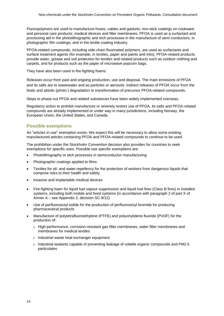Fluoropolymers are used to manufacture hoses, cables and gaskets; non-stick coatings on cookware and personal care products; medical devices and filter membranes. PFOA is used as a surfactant and processing aid in the photolithographic and etch processes in the manufacture of semi-conductors, in photographic film coatings, and in the textile coating industry.

PFOA-related compounds, including side-chain fluorinated polymers, are used as surfactants and surface treatment agents (for example, in textiles, paper and paints and inks). PFOA-related products provide water, grease and soil protection for textiles and related products such as outdoor clothing and carpets, and for products such as the paper of microwave popcorn bags.

They have also been used in fire-fighting foams.

Releases occur from past and ongoing production, use and disposal. The main emissions of PFOA and its salts are to wastewater and as particles or aerosols. Indirect releases of PFOA occur from the biotic and abiotic (photo-) degradation or transformation of precursor PFOA-related compounds.

Steps to phase out PFOA and related substances have been widely implemented overseas.

Regulatory action to prohibit manufacture or severely restrict use of PFOA, its salts and PFOA-related compounds are already implemented or under way in many jurisdictions, including Norway, the European Union, the United States, and Canada.

#### **Possible exemptions**

An "articles in use" exemption exists. We expect this will be necessary to allow some existing manufactured articles containing PFOA and PFOA-related compounds to continue to be used.

The prohibition under the Stockholm Convention decision also provides for countries to seek exemptions for specific uses. Possible use specific exemptions are:

- Photolithography or etch processes in semiconductor manufacturing
- Photographic coatings applied to films
- Textiles for oil- and water-repellency for the protection of workers from dangerous liquids that comprise risks to their health and safety
- Invasive and implantable medical devices
- Fire-fighting foam for liquid fuel vapour suppression and liquid fuel fires (Class B fires) in installed systems, including both mobile and fixed systems (in accordance with paragraph 2 of part X of Annex A – see Appendix 2, decision SC-9/12)
- Use of perfluorooctyl iodide for the production of perfluorooctyl bromide for producing pharmaceutical products
- Manufacture of polytetrafluoroethylene (PTFE) and polyvinylidene fluoride (PVDF) for the production of:
	- o High-performance, corrosion-resistant gas filter membranes, water filter membranes and membranes for medical textiles
	- o Industrial waste heat exchanger equipment
	- o Industrial sealants capable of preventing leakage of volatile organic compounds and PM2.5 particulates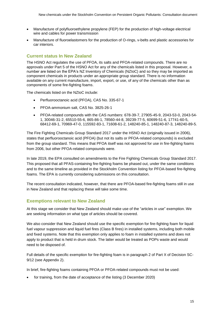- Manufacture of polyfluoroethylene propylene (FEP) for the production of high-voltage electrical wire and cables for power transmission
- Manufacture of fluoroelastomers for the production of O-rings, v-belts and plastic accessories for car interiors.

### **Current status In New Zealand**

The HSNO Act regulates the use of PFOA, its salts and PFOA-related compounds. There are no approvals under Part 5 of the HSNO Act for any of the chemicals listed in this proposal. However, a number are listed on the EPA's NZ Inventory of Chemicals (NZIoC) and so they may be imported as component chemicals in products under an appropriate group standard. There is no information available on any current manufacture, import, export, or use, of any of the chemicals other than as components of some fire-fighting foams.

The chemicals listed on the NZIoC include:

- Perfluorooctanoic acid (PFOA), CAS No. 335-67-1
- PFOA-ammonium salt, CAS No. 3825-26-1
- PFOA-related compounds with the CAS numbers: 678-39-7, 27905-45-9, 2043-53-0, 2043-54- 1, 30046-31-2, 65510-55-6, 865-86-1, 78560-44-8, 39239-77-5, 60699-51-6, 17741-60-5, 68412-69-1, 70969-47-0, 115592-83-1, 71608-61-2, 148240-85-1, 148240-87-3, 148240-89-5.

The Fire Fighting Chemicals Group Standard 2017 under the HSNO Act (originally issued in 2006), states that perfluorooctanoic acid (PFOA) (but not its salts or PFOA-related compounds) is excluded from the group standard. This means that PFOA itself was not approved for use in fire-fighting foams from 2006, but other PFOA-related compounds were.

In late 2019, the EPA consulted on amendments to the Fire Fighting Chemicals Group Standard 2017. This proposed that all PFAS-containing fire-fighting foams be phased out, under the same conditions and to the same timeline as provided in the Stockholm Convention listing for PFOA-based fire-fighting foams. The EPA is currently considering submissions on this consultation.

The recent consultation indicated, however, that there are PFOA-based fire-fighting foams still in use in New Zealand and that replacing these will take some time.

#### **Exemptions relevant to New Zealand**

At this stage we consider that New Zealand should make use of the "articles in use" exemption. We are seeking information on what type of articles should be covered.

We also consider that New Zealand should use the specific exemption for fire-fighting foam for liquid fuel vapour suppression and liquid fuel fires (Class B fires) in installed systems, including both mobile and fixed systems. Note that this exemption only applies to foam in installed systems and does not apply to product that is held in drum stock. The latter would be treated as POPs waste and would need to be disposed of.

Full details of the specific exemption for fire-fighting foam is in paragraph 2 of Part X of Decision SC-9/12 (see Appendix 2).

In brief, fire-fighting foams containing PFOA or PFOA-related compounds must not be used:

for training, from the date of acceptance of the listing (3 December 2020)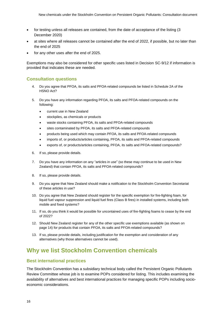- for testing unless all releases are contained, from the date of acceptance of the listing (3) December 2020)
- at sites where all releases cannot be contained after the end of 2022, if possible, but no later than the end of 2025
- for any other uses after the end of 2025.

Exemptions may also be considered for other specific uses listed in Decision SC-9/12 if information is provided that indicates these are needed.

#### **Consultation questions**

- 4. Do you agree that PFOA, its salts and PFOA-related compounds be listed in Schedule 2A of the HSNO Act?
- 5. Do you have any information regarding PFOA, its salts and PFOA-related compounds on the following:
	- current use in New Zealand
	- stockpiles, as chemicals or products
	- waste stocks containing PFOA, its salts and PFOA-related compounds
	- sites contaminated by PFOA, its salts and PFOA-related compounds
	- products being used which may contain PFOA, its salts and PFOA-related compounds
	- imports of, or products/articles containing, PFOA, its salts and PFOA-related compounds
	- exports of, or products/articles containing, PFOA, its salts and PFOA-related compounds?
- 6. If so, please provide details.
- 7. Do you have any information on any "articles in use" (so these may continue to be used in New Zealand) that contain PFOA, its salts and PFOA-related compounds?
- 8. If so, please provide details.
- 9. Do you agree that New Zealand should make a notification to the Stockholm Convention Secretariat of these articles in use?
- 10. Do you agree that New Zealand should register for the specific exemption for fire-fighting foam, for liquid fuel vapour suppression and liquid fuel fires (Class B fires) in installed systems, including both mobile and fixed systems?
- 11. If so, do you think it would be possible for uncontained uses of fire-fighting foams to cease by the end of 2022?
- 12. Should New Zealand register for any of the other specific use exemptions available (as shown on page 14) for products that contain PFOA, its salts and PFOA-related compounds?
- 13. If so, please provide details, including justification for the exemption and consideration of any alternatives (why those alternatives cannot be used).

## <span id="page-15-0"></span>**Why we list Stockholm Convention chemicals**

#### **Best international practices**

The Stockholm Convention has a subsidiary technical body called the Persistent Organic Pollutants Review Committee whose job is to examine POPs considered for listing. This includes examining the availability of alternatives and best international practices for managing specific POPs including socioeconomic considerations.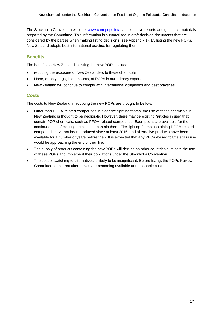The Stockholm Convention website, [www.chm.pops.int/](http://www.chm.pops.int/) has extensive reports and guidance materials prepared by the Committee. This information is summarised in draft decision documents that are considered by the parties when making listing decisions (see Appendix 1). By listing the new POPs, New Zealand adopts best international practice for regulating them.

### **Benefits**

The benefits to New Zealand in listing the new POPs include:

- reducing the exposure of New Zealanders to these chemicals
- None, or only negligible amounts, of POPs in our primary exports
- New Zealand will continue to comply with international obligations and best practices.

#### **Costs**

The costs to New Zealand in adopting the new POPs are thought to be low.

- Other than PFOA-related compounds in older fire-fighting foams, the use of these chemicals in New Zealand is thought to be negligible. However, there may be existing "articles in use" that contain POP chemicals, such as PFOA-related compounds. Exemptions are available for the continued use of existing articles that contain them. Fire-fighting foams containing PFOA-related compounds have not been produced since at least 2016, and alternative products have been available for a number of years before then. It is expected that any PFOA-based foams still in use would be approaching the end of their life.
- The supply of products containing the new POPs will decline as other countries eliminate the use of these POPs and implement their obligations under the Stockholm Convention.
- The cost of switching to alternatives is likely to be insignificant. Before listing, the POPs Review Committee found that alternatives are becoming available at reasonable cost.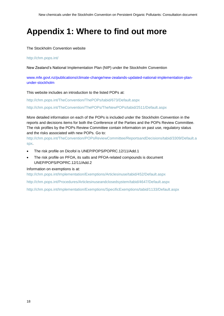# <span id="page-17-0"></span>**Appendix 1: Where to find out more**

The Stockholm Convention website

#### <http://chm.pops.int/>

New Zealand's National Implementation Plan (NIP) under the Stockholm Convention

[www.mfe.govt.nz/publications/climate-change/new-zealands-updated-national-implementation-plan](http://www.mfe.govt.nz/publications/climate-change/new-zealands-updated-national-implementation-plan-under-stockholm)[under-stockholm](http://www.mfe.govt.nz/publications/climate-change/new-zealands-updated-national-implementation-plan-under-stockholm)

This website includes an introduction to the listed POPs at:

<http://chm.pops.int/TheConvention/ThePOPs/tabid/673/Default.aspx>

<http://chm.pops.int/TheConvention/ThePOPs/TheNewPOPs/tabid/2511/Default.aspx>

More detailed information on each of the POPs is included under the Stockholm Convention in the reports and decisions items for both the Conference of the Parties and the POPs Review Committee. The risk profiles by the POPs Review Committee contain information on past use, regulatory status and the risks associated with new POPs. Go to:

[http://chm.pops.int/TheConvention/POPsReviewCommittee/ReportsandDecisions/tabid/3309/Default.a](http://chm.pops.int/TheConvention/POPsReviewCommittee/ReportsandDecisions/tabid/3309/Default.aspx) [spx.](http://chm.pops.int/TheConvention/POPsReviewCommittee/ReportsandDecisions/tabid/3309/Default.aspx)

- The risk profile on Dicofol is UNEP/POPS/POPRC.12/11/Add.1
- The risk profile on PFOA, its salts and PFOA-related compounds is document UNEP/POPS/POPRC.12/11/Add.2

#### Information on exemptions is at:

<http://chm.pops.int/Implementation/Exemptions/Articlesinuse/tabid/452/Default.aspx>

<http://chm.pops.int/Procedures/Articlesinuseandclosedsystem/tabid/4647/Default.aspx>

<http://chm.pops.int/Implementation/Exemptions/SpecificExemptions/tabid/1133/Default.aspx>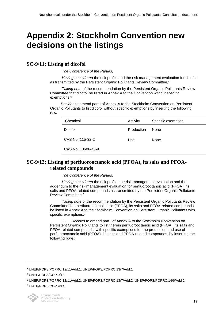# <span id="page-18-0"></span>**Appendix 2: Stockholm Convention new decisions on the listings**

## **SC-9/11: Listing of dicofol**

*The Conference of the Parties,*

*Having considered* the risk profile and the risk management evaluation for dicofol as transmitted by the Persistent Organic Pollutants Review Committee,<sup>4</sup>

*Taking note* of the recommendation by the Persistent Organic Pollutants Review Committee that dicofol be listed in Annex A to the Convention without specific exemptions,<sup>5</sup>

*Decides* to amend part I of Annex A to the Stockholm Convention on Persistent Organic Pollutants to list dicofol without specific exemptions by inserting the following row:

| Chemical           | Activity   | Specific exemption |
|--------------------|------------|--------------------|
| Dicofol            | Production | <b>None</b>        |
| CAS No: 115-32-2   | Use        | <b>None</b>        |
| CAS No: 10606-46-9 |            |                    |

## **SC-9/12: Listing of perfluorooctanoic acid (PFOA), its salts and PFOArelated compounds**

*The Conference of the Parties,*

*Having considered* the risk profile, the risk management evaluation and the addendum to the risk management evaluation for perfluorooctanoic acid (PFOA), its salts and PFOA-related compounds as transmitted by the Persistent Organic Pollutants Review Committee,<sup>6</sup>

*Taking note* of the recommendation by the Persistent Organic Pollutants Review Committee that perfluorooctanoic acid (PFOA), its salts and PFOA-related compounds be listed in Annex A to the Stockholm Convention on Persistent Organic Pollutants with specific exemptions,<sup>7</sup>

1. *Decides* to amend part I of Annex A to the Stockholm Convention on Persistent Organic Pollutants to list therein perfluorooctanoic acid (PFOA), its salts and PFOA-related compounds, with specific exemptions for the production and use of perfluorooctanoic acid (PFOA), its salts and PFOA-related compounds, by inserting the following rows:

l

19

<sup>4</sup> UNEP/POPS/POPRC.12/11/Add.1; UNEP/POPS/POPRC.13/7/Add.1.

<sup>5</sup> UNEP/POPS/COP.9/13.

<sup>6</sup> UNEP/POPS/POPRC.12/11/Add.2; UNEP/POPS/POPRC.13/7/Add.2; UNEP/POPS/POPRC.14/6/Add.2.

<sup>7</sup> UNEP/POPS/COP.9/14.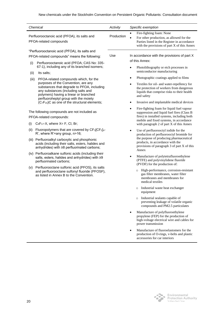|                      | Chemical                                                                                                                                                                                                                                                                                                                                                                                                                                                                                                                                   | Activity   | Specific exemption                                                                                                                                                                                                                                                                                                                                                                                                        |
|----------------------|--------------------------------------------------------------------------------------------------------------------------------------------------------------------------------------------------------------------------------------------------------------------------------------------------------------------------------------------------------------------------------------------------------------------------------------------------------------------------------------------------------------------------------------------|------------|---------------------------------------------------------------------------------------------------------------------------------------------------------------------------------------------------------------------------------------------------------------------------------------------------------------------------------------------------------------------------------------------------------------------------|
|                      | Perfluorooctanoic acid (PFOA), its salts and<br>PFOA-related compounds                                                                                                                                                                                                                                                                                                                                                                                                                                                                     | Production | Fire-fighting foam: None<br>$\bullet$<br>For other production, as allowed for the<br>Parties listed in the Register in accordance<br>with the provisions of part X of this Annex                                                                                                                                                                                                                                          |
| (i)<br>(ii)<br>(iii) | "Perfluorooctanoic acid (PFOA), its salts and<br>PFOA-related compounds" means the following:<br>Perfluorooctanoic acid (PFOA; CAS No: 335-<br>67-1), including any of its branched isomers;<br>Its salts;<br>PFOA-related compounds which, for the<br>purposes of the Convention, are any<br>substances that degrade to PFOA, including<br>any substances (including salts and<br>polymers) having a linear or branched<br>perfluoroheptyl group with the moiety<br>(C <sub>7</sub> F <sub>15</sub> )C as one of the structural elements; | Use        | In accordance with the provisions of part X<br>of this Annex:<br>Photolithography or etch processes in<br>semiconductor manufacturing<br>Photographic coatings applied to films<br>$\bullet$<br>Textiles for oil- and water-repellency for<br>$\bullet$<br>the protection of workers from dangerous<br>liquids that comprise risks to their health<br>and safety<br>Invasive and implantable medical devices<br>$\bullet$ |
| (i)                  | The following compounds are not included as<br>PFOA-related compounds:<br>$C_8F_{17}$ -X, where $X = F$ , Cl, Br;                                                                                                                                                                                                                                                                                                                                                                                                                          |            | Fire-fighting foam for liquid fuel vapour<br>$\bullet$<br>suppression and liquid fuel fires (Class B<br>fires) in installed systems, including both<br>mobile and fixed systems, in accordance<br>with paragraph 2 of part X of this Annex                                                                                                                                                                                |
| (ii)                 | Fluoropolymers that are covered by CF <sub>3</sub> [CF <sub>2</sub> ] <sub>n</sub> -<br>R', where R'=any group, n>16;<br>(iii) Perfluoroalkyl carboxylic and phosphonic<br>acids (including their salts, esters, halides and<br>anhydrides) with ≥8 perfluorinated carbons;                                                                                                                                                                                                                                                                |            | Use of perfluorooctyl iodide for the<br>٠<br>production of perfluorooctyl bromide for<br>the purpose of producing pharmaceutical<br>products, in accordance with the<br>provisions of paragraph 3 of part X of this<br>Annex                                                                                                                                                                                              |
|                      | (iv) Perfluoroalkane sulfonic acids (including their<br>salts, esters, halides and anhydrides) with ≥9<br>perfluorinated carbons;                                                                                                                                                                                                                                                                                                                                                                                                          |            | Manufacture of polytetrafluoroethylene<br>$\bullet$<br>(PTFE) and polyvinylidene fluoride<br>(PVDF) for the production of:                                                                                                                                                                                                                                                                                                |
|                      | (v) Perfluorooctane sulfonic acid (PFOS), its salts<br>and perfluorooctane sulfonyl fluoride (PFOSF),<br>as listed in Annex B to the Convention.                                                                                                                                                                                                                                                                                                                                                                                           |            | o High-performance, corrosion-resistant<br>gas filter membranes, water filter<br>membranes and membranes for<br>medical textiles<br>o Industrial waste heat exchanger                                                                                                                                                                                                                                                     |
|                      |                                                                                                                                                                                                                                                                                                                                                                                                                                                                                                                                            |            | equipment<br>Industrial sealants capable of<br>$\circ$<br>preventing leakage of volatile organic<br>compounds and PM2.5 particulates                                                                                                                                                                                                                                                                                      |
|                      |                                                                                                                                                                                                                                                                                                                                                                                                                                                                                                                                            |            | Manufacture of polyfluoroethylene<br>propylene (FEP) for the production of<br>high-voltage electrical wire and cables for<br>power transmission                                                                                                                                                                                                                                                                           |
|                      |                                                                                                                                                                                                                                                                                                                                                                                                                                                                                                                                            |            | Manufacture of fluoroelastomers for the<br>٠<br>production of O-rings, v-belts and plastic<br>accessories for car interiors                                                                                                                                                                                                                                                                                               |
|                      |                                                                                                                                                                                                                                                                                                                                                                                                                                                                                                                                            |            |                                                                                                                                                                                                                                                                                                                                                                                                                           |

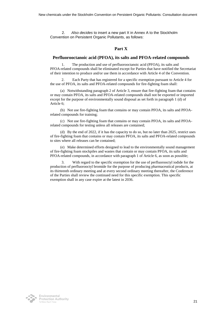2. *Also decides* to insert a new part X in Annex A to the Stockholm Convention on Persistent Organic Pollutants, as follows:

#### **Part X**

#### **Perfluorooctanoic acid (PFOA), its salts and PFOA-related compounds**

The production and use of perfluorooctanoic acid (PFOA), its salts and PFOA-related compounds shall be eliminated except for Parties that have notified the Secretariat of their intention to produce and/or use them in accordance with Article 4 of the Convention.

2. Each Party that has registered for a specific exemption pursuant to Article 4 for the use of PFOA, its salts and PFOA-related compounds for fire-fighting foam shall:

(a) Notwithstanding paragraph 2 of Article 3, ensure that fire-fighting foam that contains or may contain PFOA, its salts and PFOA-related compounds shall not be exported or imported except for the purpose of environmentally sound disposal as set forth in paragraph 1 (d) of Article 6;

(b) Not use fire-fighting foam that contains or may contain PFOA, its salts and PFOArelated compounds for training;

(c) Not use fire-fighting foam that contains or may contain PFOA, its salts and PFOArelated compounds for testing unless all releases are contained;

(d) By the end of 2022, if it has the capacity to do so, but no later than 2025, restrict uses of fire-fighting foam that contains or may contain PFOA, its salts and PFOA-related compounds to sites where all releases can be contained;

(e) Make determined efforts designed to lead to the environmentally sound management of fire-fighting foam stockpiles and wastes that contain or may contain PFOA, its salts and PFOA-related compounds, in accordance with paragraph 1 of Article 6, as soon as possible;

3. With regard to the specific exemption for the use of perfluorooctyl iodide for the production of perfluorooctyl bromide for the purpose of producing pharmaceutical products, at its thirteenth ordinary meeting and at every second ordinary meeting thereafter, the Conference of the Parties shall review the continued need for this specific exemption. This specific exemption shall in any case expire at the latest in 2036.